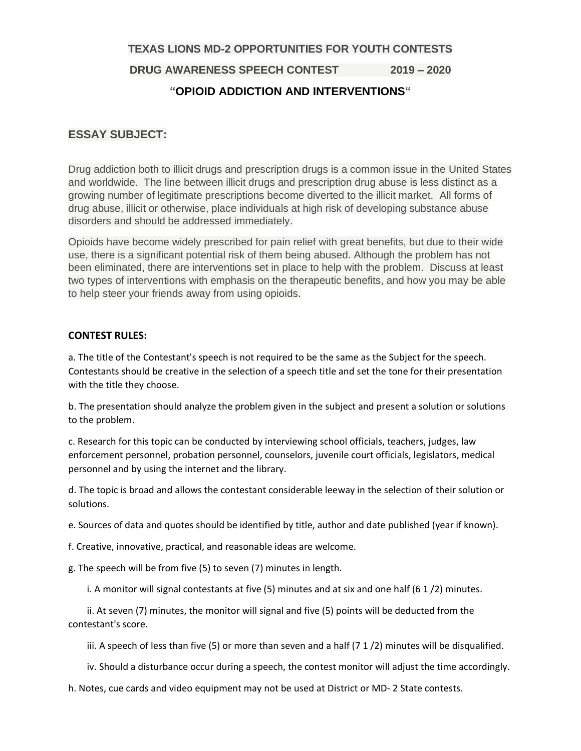**TEXAS LIONS MD-2 OPPORTUNITIES FOR YOUTH CONTESTS**

**DRUG AWARENESS SPEECH CONTEST 2019 – 2020**

## **"OPIOID ADDICTION AND INTERVENTIONS"**

# **ESSAY SUBJECT:**

Drug addiction both to illicit drugs and prescription drugs is a common issue in the United States and worldwide. The line between illicit drugs and prescription drug abuse is less distinct as a growing number of legitimate prescriptions become diverted to the illicit market. All forms of drug abuse, illicit or otherwise, place individuals at high risk of developing substance abuse disorders and should be addressed immediately.

Opioids have become widely prescribed for pain relief with great benefits, but due to their wide use, there is a significant potential risk of them being abused. Although the problem has not been eliminated, there are interventions set in place to help with the problem. Discuss at least two types of interventions with emphasis on the therapeutic benefits, and how you may be able to help steer your friends away from using opioids.

### **CONTEST RULES:**

a. The title of the Contestant's speech is not required to be the same as the Subject for the speech. Contestants should be creative in the selection of a speech title and set the tone for their presentation with the title they choose.

b. The presentation should analyze the problem given in the subject and present a solution or solutions to the problem.

c. Research for this topic can be conducted by interviewing school officials, teachers, judges, law enforcement personnel, probation personnel, counselors, juvenile court officials, legislators, medical personnel and by using the internet and the library.

d. The topic is broad and allows the contestant considerable leeway in the selection of their solution or solutions.

e. Sources of data and quotes should be identified by title, author and date published (year if known).

f. Creative, innovative, practical, and reasonable ideas are welcome.

g. The speech will be from five (5) to seven (7) minutes in length.

i. A monitor will signal contestants at five (5) minutes and at six and one half (6 1 /2) minutes.

 ii. At seven (7) minutes, the monitor will signal and five (5) points will be deducted from the contestant's score.

iii. A speech of less than five  $(5)$  or more than seven and a half  $(7 1 / 2)$  minutes will be disqualified.

iv. Should a disturbance occur during a speech, the contest monitor will adjust the time accordingly.

h. Notes, cue cards and video equipment may not be used at District or MD- 2 State contests.